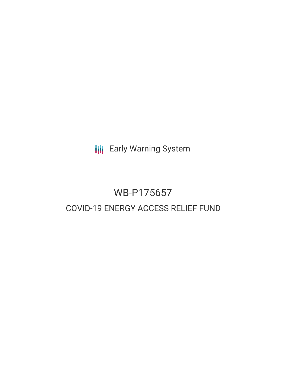**III** Early Warning System

# WB-P175657 COVID-19 ENERGY ACCESS RELIEF FUND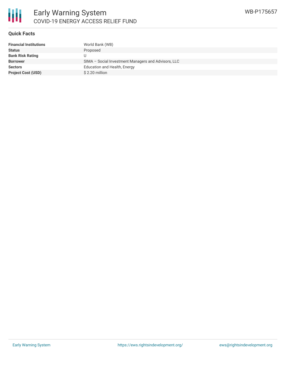

# **Quick Facts**

| <b>Financial Institutions</b> | World Bank (WB)                                     |
|-------------------------------|-----------------------------------------------------|
| <b>Status</b>                 | Proposed                                            |
| <b>Bank Risk Rating</b>       |                                                     |
| <b>Borrower</b>               | SIMA - Social Investment Managers and Advisors, LLC |
| <b>Sectors</b>                | Education and Health, Energy                        |
| <b>Project Cost (USD)</b>     | \$2.20 million                                      |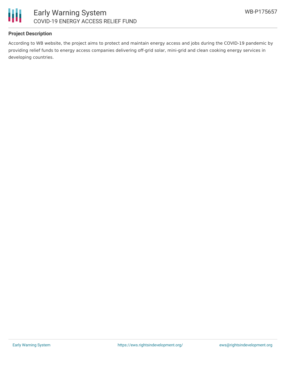



# **Project Description**

According to WB website, the project aims to protect and maintain energy access and jobs during the COVID-19 pandemic by providing relief funds to energy access companies delivering off-grid solar, mini-grid and clean cooking energy services in developing countries.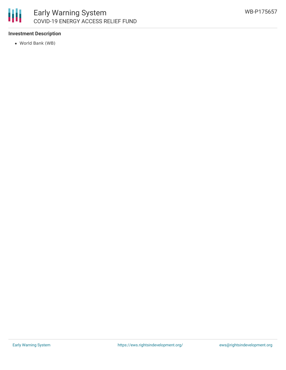

# **Investment Description**

World Bank (WB)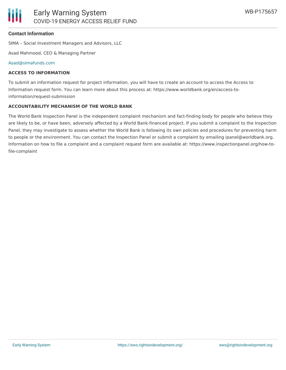### **Contact Information**

SIMA – Social Investment Managers and Advisors, LLC

Asad Mahmood, CEO & Managing Partner

#### [Asad@simafunds.com](mailto:Asad@simafunds.com)

#### **ACCESS TO INFORMATION**

To submit an information request for project information, you will have to create an account to access the Access to Information request form. You can learn more about this process at: https://www.worldbank.org/en/access-toinformation/request-submission

#### **ACCOUNTABILITY MECHANISM OF THE WORLD BANK**

The World Bank Inspection Panel is the independent complaint mechanism and fact-finding body for people who believe they are likely to be, or have been, adversely affected by a World Bank-financed project. If you submit a complaint to the Inspection Panel, they may investigate to assess whether the World Bank is following its own policies and procedures for preventing harm to people or the environment. You can contact the Inspection Panel or submit a complaint by emailing ipanel@worldbank.org. Information on how to file a complaint and a complaint request form are available at: https://www.inspectionpanel.org/how-tofile-complaint